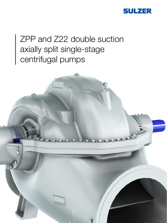

# ZPP and Z22 double suction axially split single-stage centrifugal pumps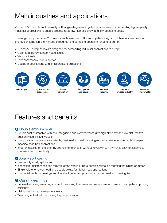## Main industries and applications

ZPP and Z22 double suction axially split single-stage centrifugal pumps are used for demanding high-capacity industrial applications to ensure process reliability, high efficiency, and low operating costs.

The range comprises over 20 sizes for each series with different impeller designs. This flexibility ensures that energy consumption is minimized throughout the complete operating range of a pump.

ZPP and Z22 pump series are designed for demanding industrial applications to pump:

- Clean and slightly contaminated liquids
- Viscous liquids
- Low-consistency fibrous slurries
- Liquids in applications with small pressure pulsations





Oil and gas Hydrocarbon **Power** 

processing



generation



Pulp, paper and board





industry



process industry



Water and wastewater

### Features and benefits

#### **1** Double entry impeller

- Double suction impeller, with split, staggered and skewed vanes give high efficiency and low Net Positive Suction Head (NPSH) values
- Low pulsation impellers are available, designed to meet the stringent performance requirements of paper machine head box applications
- Impeller installed on the shaft by strong interference fit without keyway in ZPP, which is easy to assemble, disassembled hydraulically

#### **2** Axially split casing

- Heavy-duty axially split casing
- Inspection, maintenance and removal of the rotating unit is possible without disturbing the piping or motor
- Single volute for lower head and double volute for higher head applications
- Low radial loads on bearings and low shaft deflection providing extended seal and bearing life

#### <sup>3</sup> Casing wear rings

- Renewable casing wear rings protect the casing from wear and assure smooth flow to the impeller improving efficiency
- Maintaining correct clearance is easy
- Wear ring locked in lower casing to prevent rotation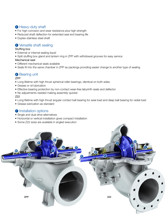#### **4** Heavy-duty shaft

- For high corrosion and wear resistance plus high strength
- Reduced shaft deflection for extended seal and bearing life
- Duplex stainless steel shaft

#### **5** Versatile shaft sealing

#### Stuffing box

- External or internal sealing liquid
- Split stuffing box gland and lantern ring in ZPP with withdrawal grooves for easy service
- Mechanical seal
- Different mechanical seals available
- Seals fit into the same chamber in ZPP as packings providing easier change to another type of sealing

### **6** Bearing unit

ZPP

- Long lifetime with high thrust spherical roller bearings, identical on both sides
- Grease or oil lubrication
- Effective bearing protection by non-contact wear-free labyrinth seals and deflector
- No adjustments needed making assembly quicker

#### Z22

- Long lifetime with high thrust angular contact ball bearing for axial load and deep ball bearing for radial load
- Grease lubrication as standard

#### **7** Installation options

- Single and dual drive alternatives
- Horizontal or vertical installation gives compact installation
- Some Z22 sizes are available in angled execution

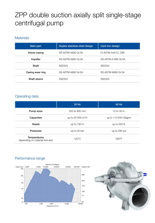### ZPP double suction axially split single-stage centrifugal pump

#### **Materials**

| Main part        | Duplex stainless steel design | Cast iron design    |
|------------------|-------------------------------|---------------------|
| Volute casing    | SS ASTM A890 Gr.3A            | CI ASTM A48 CL 35B  |
| Impeller         | SS ASTM A890 Gr.3A            | SS ASTM A 890 Gr.3A |
| Shaft            | SS2324                        | SS2324              |
| Casing wear ring | SS ASTM A890 Gr.3A            | SS ASTM A890 Gr.3A  |
| Shaft sleeve     | SS2324                        | SS2324              |

#### Operating data

|                                                       | 50 Hz                          | 60 Hz                 |
|-------------------------------------------------------|--------------------------------|-----------------------|
| Pump sizes                                            | 250 to 900 mm                  | 10 to $35$ in.        |
| Capacities                                            | up to 25'000 m <sup>3</sup> /h | up to $110'000$ USgpm |
| Heads                                                 | up to $160 \text{ m}$          | up to 525 ft.         |
| <b>Pressures</b>                                      | up to 20 bar                   | up to 290 psi         |
| <b>Temperatures</b><br>depending on material and size | $120^{\circ}$ C                | $250^{\circ}$ F       |

#### Performance range



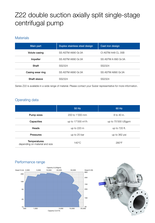## Z22 double suction axially split single-stage centrifugal pump

#### **Materials**

| Main part        | Duplex stainless steel design | Cast iron design    |
|------------------|-------------------------------|---------------------|
| Volute casing    | SS ASTM A890 Gr.3A            | CI ASTM A48 CL 35B  |
| Impeller         | SS ASTM A890 Gr.3A            | SS ASTM A 890 Gr.3A |
| Shaft            | SS2324                        | SS2324              |
| Casing wear ring | SS ASTM A890 Gr.3A            | SS ASTM A890 Gr.3A  |
| Shaft sleeve     | SS2324                        | SS2324              |

Series Z22 is available in a wide range of material. Please contact your Sulzer representative for more information.

#### Operating data

|                                                       | 50 Hz                               | 60 Hz              |
|-------------------------------------------------------|-------------------------------------|--------------------|
| Pump sizes                                            | 200 to 1'000 mm                     | 8 to 40 in.        |
| Capacities                                            | up to $17'000 \text{ m}^3/\text{h}$ | up to 75'000 USgpm |
| Heads                                                 | up to 220 m                         | up to 720 ft.      |
| <b>Pressures</b>                                      | up to 25 bar                        | up to 362 psi      |
| <b>Temperatures</b><br>depending on material and size | $140^{\circ}$ C                     | 280°F              |

#### Performance range